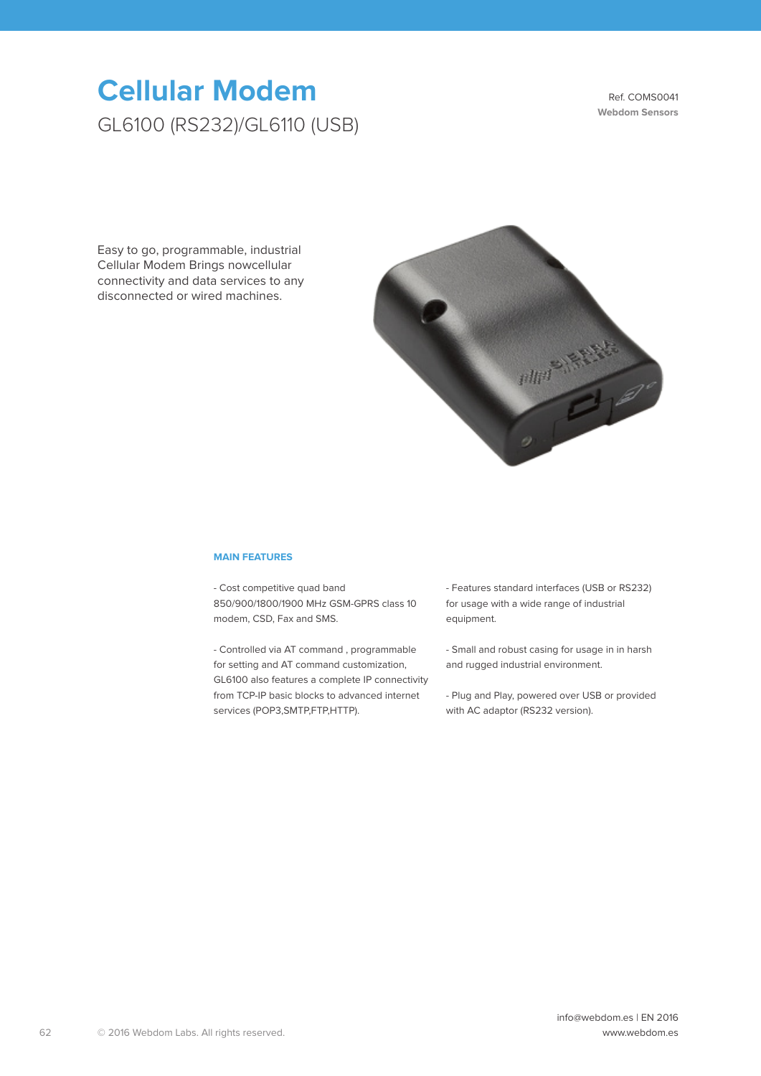# **Cellular Modem** GL6100 (RS232)/GL6110 (USB)

Ref. COMS0041 **Webdom Sensors**

Easy to go, programmable, industrial Cellular Modem Brings nowcellular connectivity and data services to any disconnected or wired machines.



#### **MAIN FEATURES**

- Cost competitive quad band 850/900/1800/1900 MHz GSM-GPRS class 10 modem, CSD, Fax and SMS.

- Controlled via AT command , programmable for setting and AT command customization, GL6100 also features a complete IP connectivity from TCP-IP basic blocks to advanced internet services (POP3, SMTP, FTP, HTTP).

- Features standard interfaces (USB or RS232) for usage with a wide range of industrial equipment.

- Small and robust casing for usage in in harsh and rugged industrial environment.

- Plug and Play, powered over USB or provided with AC adaptor (RS232 version).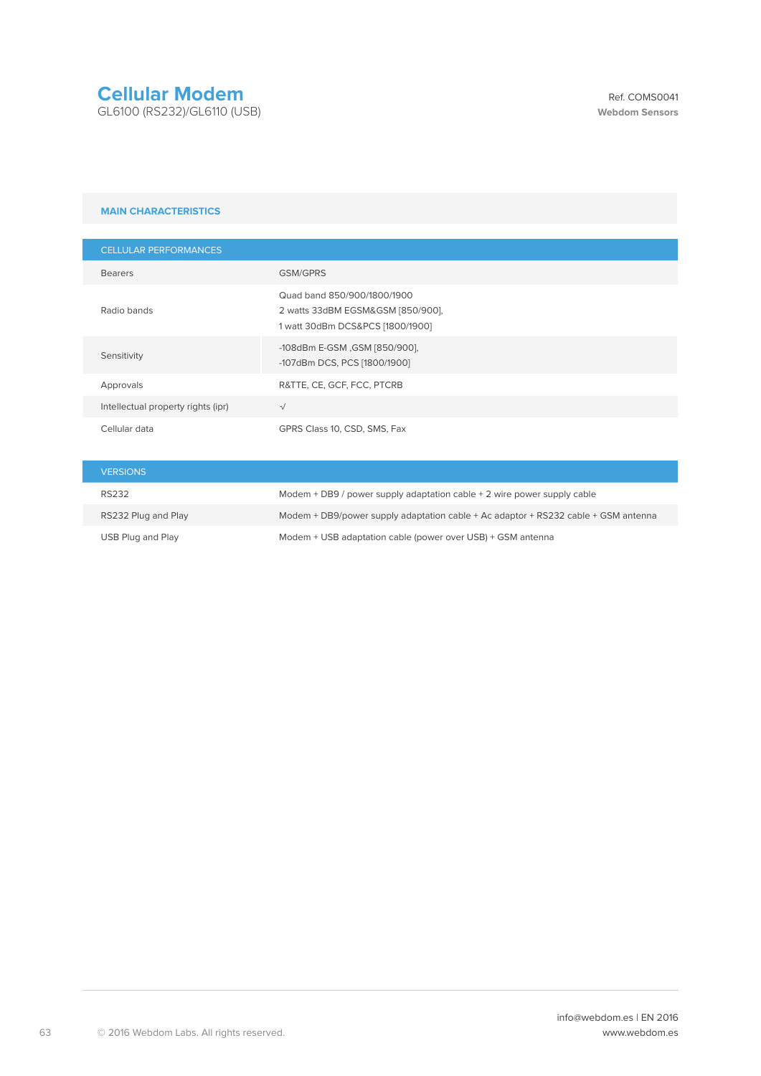## **Cellular Modem**

GL6100 (RS232)/GL6110 (USB)

#### **MAIN CHARACTERISTICS**

| <b>CELLULAR PERFORMANCES</b>       |                                                                                                      |
|------------------------------------|------------------------------------------------------------------------------------------------------|
| <b>Bearers</b>                     | <b>GSM/GPRS</b>                                                                                      |
| Radio bands                        | Quad band 850/900/1800/1900<br>2 watts 33dBM EGSM&GSM [850/900],<br>1 watt 30dBm DCS&PCS [1800/1900] |
| Sensitivity                        | -108dBm E-GSM , GSM [850/900],<br>-107dBm DCS, PCS [1800/1900]                                       |
| Approvals                          | R&TTE, CE, GCF, FCC, PTCRB                                                                           |
| Intellectual property rights (ipr) | $\sqrt{ }$                                                                                           |
| Cellular data                      | GPRS Class 10, CSD, SMS, Fax                                                                         |

| <b>VERSIONS</b>     |                                                                                    |
|---------------------|------------------------------------------------------------------------------------|
| <b>RS232</b>        | Modem $+$ DB9 / power supply adaptation cable $+$ 2 wire power supply cable        |
| RS232 Plug and Play | Modem + DB9/power supply adaptation cable + Ac adaptor + RS232 cable + GSM antenna |
| USB Plug and Play   | Modem + USB adaptation cable (power over USB) + GSM antenna                        |